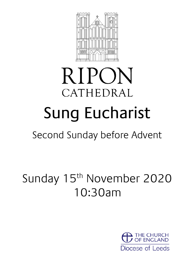

# **RIPON** CATHEDRAL Sung Eucharist

# Second Sunday before Advent

# Sunday 15<sup>th</sup> November 2020 10:30am

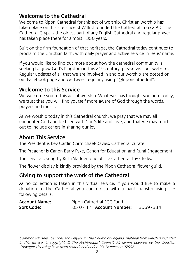#### **Welcome to the Cathedral**

Welcome to Ripon Cathedral for this act of worship. Christian worship has taken place on this site since St Wilfrid founded the Cathedral in 672 AD. The Cathedral Crypt is the oldest part of any English Cathedral and regular prayer has taken place there for almost 1350 years.

Built on the firm foundation of that heritage, the Cathedral today continues to proclaim the Christian faith, with daily prayer and active service in Jesus' name.

If you would like to find out more about how the cathedral community is seeking to grow God's Kingdom in this  $21<sup>st</sup>$  century, please visit our website. Regular updates of all that we are involved in and our worship are posted on our Facebook page and we tweet regularly using "@riponcathedral".

#### **Welcome to this Service**

We welcome you to this act of worship. Whatever has brought you here today, we trust that you will find yourself more aware of God through the words, prayers and music.

As we worship today in this Cathedral church, we pray that we may all encounter God and be filled with God's life and love, and that we may reach out to include others in sharing our joy.

#### **About This Service**

The President is Rev Caitlin Carmichael-Davies, Cathedral curate.

The Preacher is Canon Barry Pyke, Canon for Education and Rural Engagement.

The service is sung by Ruth Sladden one of the Cathedral Lay Clerks.

The flower display is kindly provided by the Ripon Cathedral flower guild.

#### **Giving to support the work of the Cathedral**

As no collection is taken in this virtual service, if you would like to make a donation to the Cathedral you can do so with a bank transfer using the following details.

| <b>Account Name:</b> | Ripon Cathedral PCC Fund        |          |
|----------------------|---------------------------------|----------|
| Sort Code:           | 05 07 17 <b>Account Number:</b> | 35697334 |

Common Worship: Services and Prayers for the Church of England, material from which is included in this service, is copyright © The Archbishops' Council. All hymns covered by the Christian Copyright Licensing have been reproduced under CCL Licence no 97098.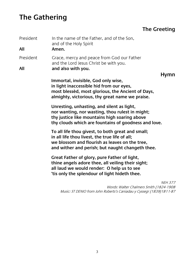# **The Gathering**

**The Greeting**

| President | In the name of the Father, and of the Son,<br>and of the Holy Spirit                                                                                                                                      |
|-----------|-----------------------------------------------------------------------------------------------------------------------------------------------------------------------------------------------------------|
| All       | Amen.                                                                                                                                                                                                     |
| President | Grace, mercy and peace from God our Father<br>and the Lord Jesus Christ be with you.                                                                                                                      |
| All       | and also with you.                                                                                                                                                                                        |
|           | Hymn                                                                                                                                                                                                      |
|           | Immortal, invisible, God only wise,<br>in light inaccessible hid from our eyes,<br>most blessèd, most glorious, the Ancient of Days,<br>almighty, victorious, thy great name we praise.                   |
|           | Unresting, unhasting, and silent as light,<br>nor wanting, nor wasting, thou rulest in might;<br>thy justice like mountains high soaring above<br>thy clouds which are fountains of goodness and love.    |
|           | To all life thou givest, to both great and small;<br>in all life thou livest, the true life of all;<br>we blossom and flourish as leaves on the tree,<br>and wither and perish; but naught changeth thee. |
|           | Great Father of glory, pure Father of light,<br>thine angels adore thee, all veiling their sight;<br>all laud we would render: O help us to see<br>'tis only the splendour of light hideth thee.          |
|           | <b>NEH 377</b><br>Words: Walter Chalmers Smith (1824-1908<br>Music: ST DENIO from John Roberts's Caniadau y Cyssegr (1839)1811-87                                                                         |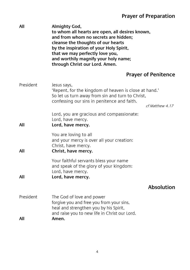### **Prayer of Preparation**

| All              | Almighty God,<br>to whom all hearts are open, all desires known,<br>and from whom no secrets are hidden;<br>cleanse the thoughts of our hearts<br>by the inspiration of your Holy Spirit,<br>that we may perfectly love you,<br>and worthily magnify your holy name;<br>through Christ our Lord. Amen. |
|------------------|--------------------------------------------------------------------------------------------------------------------------------------------------------------------------------------------------------------------------------------------------------------------------------------------------------|
|                  | <b>Prayer of Penitence</b>                                                                                                                                                                                                                                                                             |
| President        | Jesus says,<br>'Repent, for the kingdom of heaven is close at hand.'<br>So let us turn away from sin and turn to Christ,<br>confessing our sins in penitence and faith.                                                                                                                                |
|                  | cf Matthew 4.17                                                                                                                                                                                                                                                                                        |
| All              | Lord, you are gracious and compassionate:<br>Lord, have mercy.<br>Lord, have mercy.                                                                                                                                                                                                                    |
| All              | You are loving to all<br>and your mercy is over all your creation:<br>Christ, have mercy.<br>Christ, have mercy.                                                                                                                                                                                       |
| All              | Your faithful servants bless your name<br>and speak of the glory of your kingdom:<br>Lord, have mercy.<br>Lord, have mercy.                                                                                                                                                                            |
|                  | <b>Absolution</b>                                                                                                                                                                                                                                                                                      |
| President<br>All | The God of love and power<br>forgive you and free you from your sins,<br>heal and strengthen you by his Spirit,<br>and raise you to new life in Christ our Lord.<br>Amen.                                                                                                                              |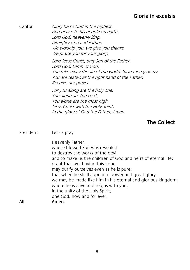#### **Gloria in excelsis**

| Г<br>an |  |
|---------|--|
|         |  |

Glory be to God in the highest, And peace to his people on earth. Lord God, heavenly king, Almighty God and Father, We worship you, we give you thanks, We praise you for your glory.

Lord Jesus Christ, only Son of the Father, Lord God, Lamb of God, You take away the sin of the world: have mercy on us; You are seated at the right hand of the Father: Receive our prayer.

For you along are the holy one, You alone are the Lord. You alone are the most high, Jesus Christ with the Holy Spirit, In the glory of God the Father, Amen.

#### **The Collect**

President Let us pray

Heavenly Father, whose blessed Son was revealed to destroy the works of the devil and to make us the children of God and heirs of eternal life: grant that we, having this hope, may purify ourselves even as he is pure; that when he shall appear in power and great glory we may be made like him in his eternal and glorious kingdom; where he is alive and reigns with you, in the unity of the Holy Spirit, one God, now and for ever. **All Amen.**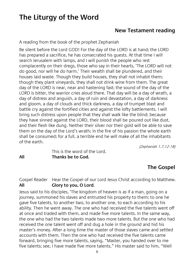# **The Liturgy of the Word**

#### **New Testament reading**

A reading from the book of the prophet Zephaniah

Be silent before the Lord GOD! For the day of the LORD is at hand; the LORD has prepared a sacrifice, he has consecrated his guests. At that time I will search Jerusalem with lamps, and I will punish the people who rest complacently on their dregs, those who say in their hearts, 'The LORD will not do good, nor will he do harm.' Their wealth shall be plundered, and their houses laid waste. Though they build houses, they shall not inhabit them; though they plant vineyards, they shall not drink wine from them. The great day of the LORD is near, near and hastening fast; the sound of the day of the LORD is bitter, the warrior cries aloud there. That day will be a day of wrath, a day of distress and anguish, a day of ruin and devastation, a day of darkness and gloom, a day of clouds and thick darkness, a day of trumpet blast and battle cry against the fortified cities and against the lofty battlements. I will bring such distress upon people that they shall walk like the blind; because they have sinned against the LORD, their blood shall be poured out like dust, and their flesh like dung. Neither their silver nor their gold will be able to save them on the day of the Lord's wrath; in the fire of his passion the whole earth shall be consumed; for a full, a terrible end he will make of all the inhabitants of the earth.

(Zephaniah 1.7,12-18)

This is the word of the Lord. **All Thanks be to God.**

#### **The Gospel**

Gospel Reader Hear the Gospel of our Lord Jesus Christ according to Matthew. **All Glory to you, O Lord**.

Jesus said to his disciples, 'The kingdom of heaven is as if a man, going on a journey, summoned his slaves and entrusted his property to them; to one he gave five talents, to another two, to another one, to each according to his ability. Then he went away. The one who had received the five talents went off at once and traded with them, and made five more talents. In the same way, the one who had the two talents made two more talents. But the one who had received the one talent went off and dug a hole in the ground and hid his master's money. After a long time the master of those slaves came and settled accounts with them. Then the one who had received the five talents came forward, bringing five more talents, saying, "Master, you handed over to me five talents; see, I have made five more talents." His master said to him, "Well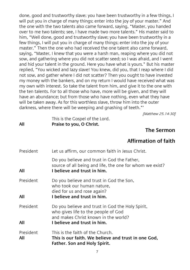done, good and trustworthy slave; you have been trustworthy in a few things, I will put you in charge of many things; enter into the joy of your master." And the one with the two talents also came forward, saying, "Master, you handed over to me two talents; see, I have made two more talents." His master said to him, "Well done, good and trustworthy slave; you have been trustworthy in a few things, I will put you in charge of many things; enter into the joy of your master." Then the one who had received the one talent also came forward, saying, "Master, I knew that you were a harsh man, reaping where you did not sow, and gathering where you did not scatter seed; so I was afraid, and I went and hid your talent in the ground. Here you have what is yours." But his master replied, "You wicked and lazy slave! You knew, did you, that I reap where I did not sow, and gather where I did not scatter? Then you ought to have invested my money with the bankers, and on my return I would have received what was my own with interest. So take the talent from him, and give it to the one with the ten talents. For to all those who have, more will be given, and they will have an abundance; but from those who have nothing, even what they have will be taken away. As for this worthless slave, throw him into the outer darkness, where there will be weeping and gnashing of teeth."'

[Matthew 25.14-30]

This is the Gospel of the Lord. **All Praise to you, O Christ. The Sermon Affirmation of faith** President Let us affirm, our common faith in Jesus Christ. Do you believe and trust in God the Father, source of all being and life, the one for whom we exist? **All I believe and trust in him.** President Do you believe and trust in God the Son, who took our human nature, died for us and rose again? **All I believe and trust in him.** President Do you believe and trust in God the Holy Spirit, who gives life to the people of God and makes Christ known in the world? **All I believe and trust in him.** President This is the faith of the Church. **All This is our faith. We believe and trust in one God, Father. Son and Holy Spirit.**

7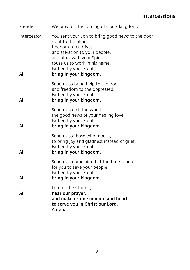| President          | We pray for the coming of God's kingdom.                                                                                                                                                                                                             |
|--------------------|------------------------------------------------------------------------------------------------------------------------------------------------------------------------------------------------------------------------------------------------------|
| Intercessor<br>All | You sent your Son to bring good news to the poor,<br>sight to the blind,<br>freedom to captives<br>and salvation to your people:<br>anoint us with your Spirit;<br>rouse us to work in his name.<br>Father, by your Spirit<br>bring in your kingdom. |
| All                | Send us to bring help to the poor<br>and freedom to the oppressed.<br>Father, by your Spirit<br>bring in your kingdom.                                                                                                                               |
| All                | Send us to tell the world<br>the good news of your healing love.<br>Father, by your Spirit<br>bring in your kingdom.                                                                                                                                 |
| All                | Send us to those who mourn,<br>to bring joy and gladness instead of grief.<br>Father, by your Spirit<br>bring in your kingdom.                                                                                                                       |
| All                | Send us to proclaim that the time is here<br>for you to save your people.<br>Father, by your Spirit<br>bring in your kingdom.                                                                                                                        |
| All                | Lord of the Church,<br>hear our prayer,<br>and make us one in mind and heart<br>to serve you in Christ our Lord.<br>Amen.                                                                                                                            |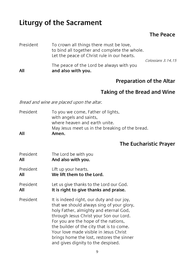## **Liturgy of the Sacrament**

#### **The Peace**

President To crown all things there must be love, to bind all together and complete the whole. Let the peace of Christ rule in our hearts. Colossians 3.14,15 The peace of the Lord be always with you **All and also with you.**

#### **Preparation of the Altar**

#### **Taking of the Bread and Wine**

Bread and wine are placed upon the altar.

| President | To you we come, Father of lights,<br>with angels and saints,<br>where heaven and earth unite.<br>May Jesus meet us in the breaking of the bread. |
|-----------|--------------------------------------------------------------------------------------------------------------------------------------------------|
| All       | Amen.                                                                                                                                            |

#### **The Eucharistic Prayer**

| President | The Lord be with you                                                                                                                                                                                                                                                                                                                                                                         |
|-----------|----------------------------------------------------------------------------------------------------------------------------------------------------------------------------------------------------------------------------------------------------------------------------------------------------------------------------------------------------------------------------------------------|
| All       | And also with you.                                                                                                                                                                                                                                                                                                                                                                           |
| President | Lift up your hearts.                                                                                                                                                                                                                                                                                                                                                                         |
| All       | We lift them to the Lord.                                                                                                                                                                                                                                                                                                                                                                    |
| President | Let us give thanks to the Lord our God.                                                                                                                                                                                                                                                                                                                                                      |
| All       | It is right to give thanks and praise.                                                                                                                                                                                                                                                                                                                                                       |
| President | It is indeed right, our duty and our joy,<br>that we should always sing of your glory,<br>holy Father, almighty and eternal God,<br>through Jesus Christ your Son our Lord.<br>For you are the hope of the nations,<br>the builder of the city that is to come.<br>Your love made visible in Jesus Christ<br>brings home the lost, restores the sinner<br>and gives dignity to the despised. |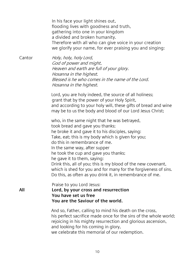In his face your light shines out, flooding lives with goodness and truth, gathering into one in your kingdom a divided and broken humanity. Therefore with all who can give voice in your creation we glorify your name, for ever praising you and singing:

Cantor Holy, holy, holy Lord, God of power and might, Heaven and earth are full of your glory. Hosanna in the highest. Blessed is he who comes in the name of the Lord. Hosanna in the highest.

> Lord, you are holy indeed, the source of all holiness; grant that by the power of your Holy Spirit, and according to your holy will, these gifts of bread and wine may be to us the body and blood of our Lord Jesus Christ;

> who, in the same night that he was betraved, took bread and gave you thanks; he broke it and gave it to his disciples, saying: Take, eat; this is my body which is given for you; do this in remembrance of me. In the same way, after supper he took the cup and gave you thanks; he gave it to them, saying: Drink this, all of you; this is my blood of the new covenant, which is shed for you and for many for the forgiveness of sins. Do this, as often as you drink it, in remembrance of me.

Praise to you Lord Jesus: **All Lord, by your cross and resurrection You have set us free You are the Saviour of the world.**

> And so, Father, calling to mind his death on the cross, his perfect sacrifice made once for the sins of the whole world; rejoicing in his mighty resurrection and glorious ascension, and looking for his coming in glory, we celebrate this memorial of our redemption.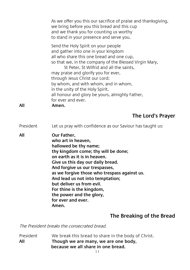|           | As we offer you this our sacrifice of praise and thanksgiving,<br>we bring before you this bread and this cup<br>and we thank you for counting us worthy<br>to stand in your presence and serve you.                                                                                                                                                                                                                                                                  |
|-----------|-----------------------------------------------------------------------------------------------------------------------------------------------------------------------------------------------------------------------------------------------------------------------------------------------------------------------------------------------------------------------------------------------------------------------------------------------------------------------|
| All       | Send the Holy Spirit on your people<br>and gather into one in your kingdom<br>all who share this one bread and one cup,<br>so that we, in the company of the Blessed Virgin Mary,<br>St Peter, St Wilfrid and all the saints,<br>may praise and glorify you for ever,<br>through Jesus Christ our Lord;<br>by whom, and with whom, and in whom,<br>in the unity of the Holy Spirit,<br>all honour and glory be yours, almighty Father,<br>for ever and ever.<br>Amen. |
|           | The Lord's Prayer                                                                                                                                                                                                                                                                                                                                                                                                                                                     |
| President | Let us pray with confidence as our Saviour has taught us:                                                                                                                                                                                                                                                                                                                                                                                                             |
| All       | Our Father,<br>who art in heaven,<br>hallowed be thy name;<br>thy kingdom come; thy will be done;<br>on earth as it is in heaven.<br>Give us this day our daily bread.<br>And forgive us our trespasses,<br>as we forgive those who trespass against us.<br>And lead us not into temptation;<br>but deliver us from evil.<br>For thine is the kingdom,<br>the power and the glory,<br>for ever and ever.<br>Amen.                                                     |
|           | $\cdots$<br>.                                                                                                                                                                                                                                                                                                                                                                                                                                                         |

#### **The Breaking of the Bread**

The President breaks the consecrated bread.

President We break this bread to share in the body of Christ.<br>All **Though we are many, we are one body**. **All Though we are many, we are one body, because we all share in one bread.**